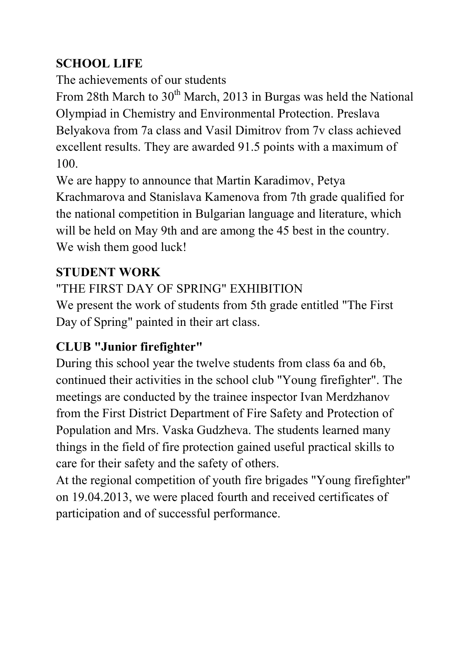## **SCHOOL LIFE**

The achievements of our students

From 28th March to  $30<sup>th</sup>$  March, 2013 in Burgas was held the National Olympiad in Chemistry and Environmental Protection. Preslava Belyakova from 7a class and Vasil Dimitrov from 7v class achieved excellent results. They are awarded 91.5 points with a maximum of 100.

We are happy to announce that Martin Karadimov, Petya Krachmarova and Stanislava Kamenova from 7th grade qualified for the national competition in Bulgarian language and literature, which will be held on May 9th and are among the 45 best in the country. We wish them good luck!

### **STUDENT WORK**

"THE FIRST DAY OF SPRING" EXHIBITION

We present the work of students from 5th grade entitled "The First Day of Spring" painted in their art class.

## **CLUB "Junior firefighter"**

During this school year the twelve students from class 6a and 6b, continued their activities in the school club "Young firefighter". The meetings are conducted by the trainee inspector Ivan Merdzhanov from the First District Department of Fire Safety and Protection of Population and Mrs. Vaska Gudzheva. The students learned many things in the field of fire protection gained useful practical skills to care for their safety and the safety of others.

At the regional competition of youth fire brigades "Young firefighter" on 19.04.2013, we were placed fourth and received certificates of participation and of successful performance.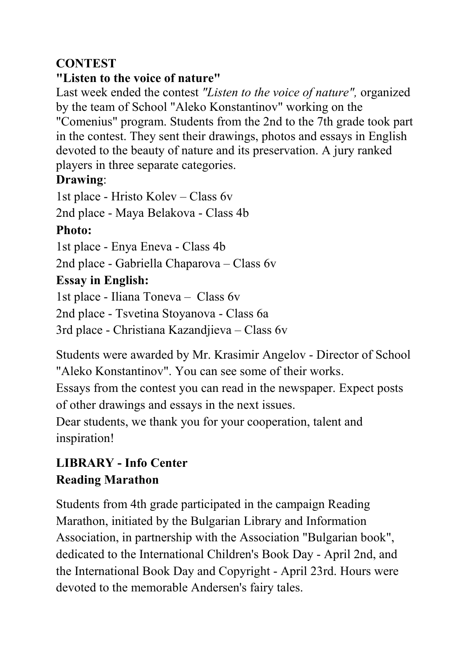### **CONTEST**

#### **"Listen to the voice of nature"**

Last week ended the contest *"Listen to the voice of nature",* organized by the team of School "Aleko Konstantinov" working on the "Comenius" program. Students from the 2nd to the 7th grade took part in the contest. They sent their drawings, photos and essays in English devoted to the beauty of nature and its preservation. A jury ranked players in three separate categories.

#### **Drawing**:

1st place - Hristo Kolev – Class 6v

2nd place - Maya Belakova - Class 4b

## **Photo:**

1st place - Enya Eneva - Class 4b

2nd place - Gabriella Chaparova – Class 6v

## **Essay in English:**

1st place - Iliana Toneva – Class 6v

2nd place - Tsvetina Stoyanova - Class 6a

3rd place - Christiana Kazandjieva – Class 6v

Students were awarded by Mr. Krasimir Angelov - Director of School "Aleko Konstantinov". You can see some of their works.

Essays from the contest you can read in the newspaper. Expect posts of other drawings and essays in the next issues.

Dear students, we thank you for your cooperation, talent and inspiration!

# **LIBRARY - Info Center Reading Marathon**

Students from 4th grade participated in the campaign Reading Marathon, initiated by the Bulgarian Library and Information Association, in partnership with the Association "Bulgarian book", dedicated to the International Children's Book Day - April 2nd, and the International Book Day and Copyright - April 23rd. Hours were devoted to the memorable Andersen's fairy tales.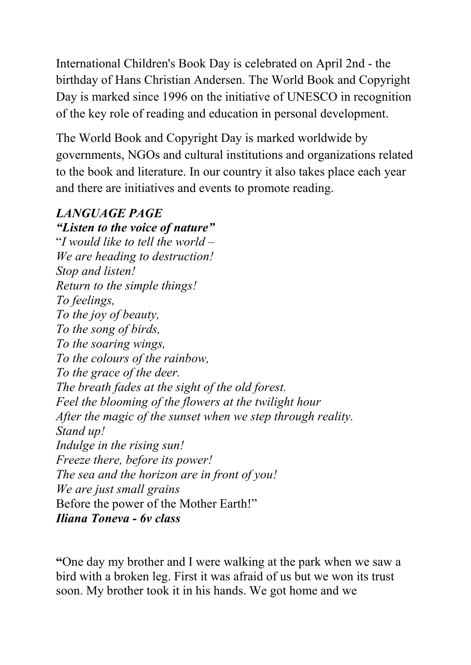International Children's Book Day is celebrated on April 2nd - the birthday of Hans Christian Andersen. The World Book and Copyright Day is marked since 1996 on the initiative of UNESCO in recognition of the key role of reading and education in personal development.

The World Book and Copyright Day is marked worldwide by governments, NGOs and cultural institutions and organizations related to the book and literature. In our country it also takes place each year and there are initiatives and events to promote reading.

#### *LAGUAGE PAGE*

*"Listen to the voice of nature"*  "*I would like to tell the world – We are heading to destruction! Stop and listen! Return to the simple things! To feelings, To the joy of beauty, To the song of birds, To the soaring wings, To the colours of the rainbow, To the grace of the deer. The breath fades at the sight of the old forest. Feel the blooming of the flowers at the twilight hour After the magic of the sunset when we step through reality. Stand up! Indulge in the rising sun! Freeze there, before its power! The sea and the horizon are in front of you! We are just small grains*  Before the power of the Mother Earth!" *Iliana Toneva - 6v class* 

**"**One day my brother and I were walking at the park when we saw a bird with a broken leg. First it was afraid of us but we won its trust soon. My brother took it in his hands. We got home and we